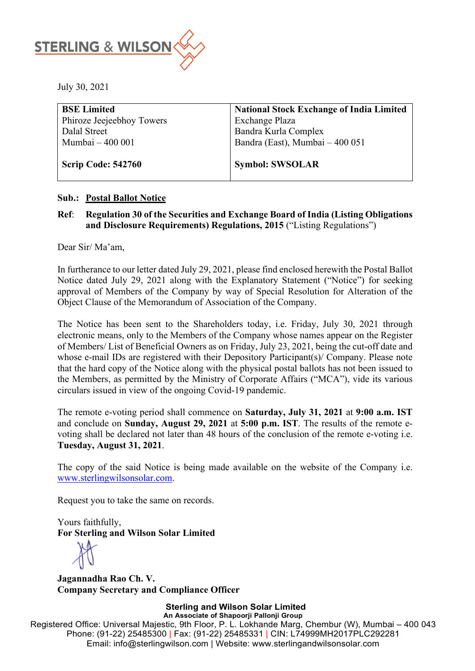

July 30, 2021

| <b>BSE Limited</b>        | <b>National Stock Exchange of India Limited</b> |
|---------------------------|-------------------------------------------------|
| Phiroze Jeejeebhoy Towers | <b>Exchange Plaza</b>                           |
| Dalal Street              | Bandra Kurla Complex                            |
| Mumbai - 400 001          | Bandra (East), Mumbai - 400 051                 |
|                           |                                                 |
| Scrip Code: 542760        | <b>Symbol: SWSOLAR</b>                          |

#### **Sub.: Postal Ballot Notice**

### **Ref**: **Regulation 30 of the Securities and Exchange Board of India (Listing Obligations and Disclosure Requirements) Regulations, 2015** ("Listing Regulations")

Dear Sir/ Ma'am,

In furtherance to our letter dated July 29, 2021, please find enclosed herewith the Postal Ballot Notice dated July 29, 2021 along with the Explanatory Statement ("Notice") for seeking approval of Members of the Company by way of Special Resolution for Alteration of the Object Clause of the Memorandum of Association of the Company.

The Notice has been sent to the Shareholders today, i.e. Friday, July 30, 2021 through electronic means, only to the Members of the Company whose names appear on the Register of Members/ List of Beneficial Owners as on Friday, July 23, 2021, being the cut-off date and whose e-mail IDs are registered with their Depository Participant(s)/ Company. Please note that the hard copy of the Notice along with the physical postal ballots has not been issued to the Members, as permitted by the Ministry of Corporate Affairs ("MCA"), vide its various circulars issued in view of the ongoing Covid-19 pandemic.

The remote e-voting period shall commence on **Saturday, July 31, 2021** at **9:00 a.m. IST**  and conclude on **Sunday, August 29, 2021** at **5:00 p.m. IST**. The results of the remote evoting shall be declared not later than 48 hours of the conclusion of the remote e-voting i.e. **Tuesday, August 31, 2021**.

The copy of the said Notice is being made available on the website of the Company i.e. [www.sterlingwilsonsolar.com.](http://www.sterlingwilsonsolar.com/)

Request you to take the same on records.

Yours faithfully, **For Sterling and Wilson Solar Limited** 

**Jagannadha Rao Ch. V. Company Secretary and Compliance Officer** 

**Sterling and Wilson Solar Limited An Associate of Shapoorji Pallonji Group** Registered Office: Universal Majestic, 9th Floor, P. L. Lokhande Marg, Chembur (W), Mumbai – 400 043 Phone: (91-22) 25485300 | Fax: (91-22) 25485331 | CIN: L74999MH2017PLC292281 Email: info@sterlingwilson.com | Website: www.sterlingandwilsonsolar.com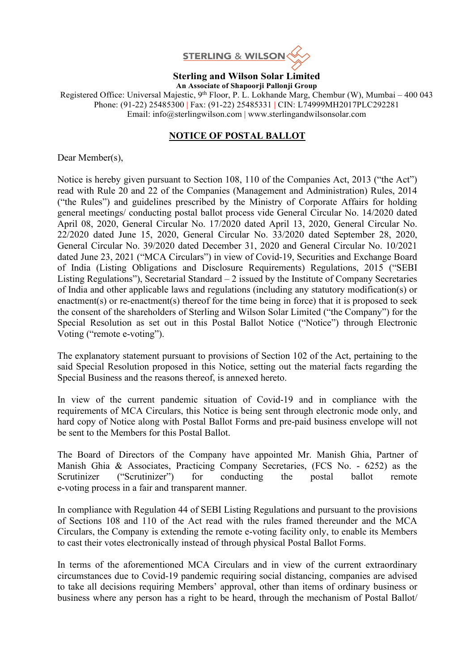

**Sterling and Wilson Solar Limited An Associate of Shapoorji Pallonji Group**

Registered Office: Universal Majestic, 9<sup>th</sup> Floor, P. L. Lokhande Marg, Chembur (W), Mumbai – 400 043 Phone: (91-22) 25485300 | Fax: (91-22) 25485331 | CIN: L74999MH2017PLC292281 Email: info@sterlingwilson.com | www.sterlingandwilsonsolar.com

## **NOTICE OF POSTAL BALLOT**

Dear Member(s),

Notice is hereby given pursuant to Section 108, 110 of the Companies Act, 2013 ("the Act") read with Rule 20 and 22 of the Companies (Management and Administration) Rules, 2014 ("the Rules") and guidelines prescribed by the Ministry of Corporate Affairs for holding general meetings/ conducting postal ballot process vide General Circular No. 14/2020 dated April 08, 2020, General Circular No. 17/2020 dated April 13, 2020, General Circular No. 22/2020 dated June 15, 2020, General Circular No. 33/2020 dated September 28, 2020, General Circular No. 39/2020 dated December 31, 2020 and General Circular No. 10/2021 dated June 23, 2021 ("MCA Circulars") in view of Covid-19, Securities and Exchange Board of India (Listing Obligations and Disclosure Requirements) Regulations, 2015 ("SEBI Listing Regulations"), Secretarial Standard  $-2$  issued by the Institute of Company Secretaries of India and other applicable laws and regulations (including any statutory modification(s) or enactment(s) or re-enactment(s) thereof for the time being in force) that it is proposed to seek the consent of the shareholders of Sterling and Wilson Solar Limited ("the Company") for the Special Resolution as set out in this Postal Ballot Notice ("Notice") through Electronic Voting ("remote e-voting").

The explanatory statement pursuant to provisions of Section 102 of the Act, pertaining to the said Special Resolution proposed in this Notice, setting out the material facts regarding the Special Business and the reasons thereof, is annexed hereto.

In view of the current pandemic situation of Covid-19 and in compliance with the requirements of MCA Circulars, this Notice is being sent through electronic mode only, and hard copy of Notice along with Postal Ballot Forms and pre-paid business envelope will not be sent to the Members for this Postal Ballot.

The Board of Directors of the Company have appointed Mr. Manish Ghia, Partner of Manish Ghia & Associates, Practicing Company Secretaries, (FCS No. - 6252) as the Scrutinizer ("Scrutinizer") for conducting the postal ballot remote e-voting process in a fair and transparent manner.

In compliance with Regulation 44 of SEBI Listing Regulations and pursuant to the provisions of Sections 108 and 110 of the Act read with the rules framed thereunder and the MCA Circulars, the Company is extending the remote e-voting facility only, to enable its Members to cast their votes electronically instead of through physical Postal Ballot Forms.

In terms of the aforementioned MCA Circulars and in view of the current extraordinary circumstances due to Covid-19 pandemic requiring social distancing, companies are advised to take all decisions requiring Members' approval, other than items of ordinary business or business where any person has a right to be heard, through the mechanism of Postal Ballot/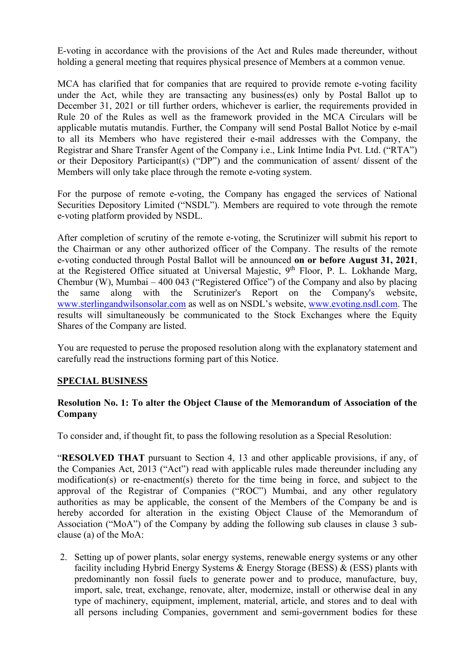E-voting in accordance with the provisions of the Act and Rules made thereunder, without holding a general meeting that requires physical presence of Members at a common venue.

MCA has clarified that for companies that are required to provide remote e-voting facility under the Act, while they are transacting any business(es) only by Postal Ballot up to December 31, 2021 or till further orders, whichever is earlier, the requirements provided in Rule 20 of the Rules as well as the framework provided in the MCA Circulars will be applicable mutatis mutandis. Further, the Company will send Postal Ballot Notice by e-mail to all its Members who have registered their e-mail addresses with the Company, the Registrar and Share Transfer Agent of the Company i.e., Link Intime India Pvt. Ltd. ("RTA") or their Depository Participant(s) ("DP") and the communication of assent/ dissent of the Members will only take place through the remote e-voting system.

For the purpose of remote e-voting, the Company has engaged the services of National Securities Depository Limited ("NSDL"). Members are required to vote through the remote e-voting platform provided by NSDL.

After completion of scrutiny of the remote e-voting, the Scrutinizer will submit his report to the Chairman or any other authorized officer of the Company. The results of the remote e-voting conducted through Postal Ballot will be announced **on or before August 31, 2021**, at the Registered Office situated at Universal Majestic, 9<sup>th</sup> Floor, P. L. Lokhande Marg, Chembur (W), Mumbai – 400 043 ("Registered Office") of the Company and also by placing the same along with the Scrutinizer's Report on the Company's website, [www.sterlingandwilsonsolar.com](http://www.sterlingandwilsonsolar.com/) as well as on NSDL's website, [www.evoting.nsdl.com.](http://www.evoting.nsdl.com/) The results will simultaneously be communicated to the Stock Exchanges where the Equity Shares of the Company are listed.

You are requested to peruse the proposed resolution along with the explanatory statement and carefully read the instructions forming part of this Notice.

### **SPECIAL BUSINESS**

### **Resolution No. 1: To alter the Object Clause of the Memorandum of Association of the Company**

To consider and, if thought fit, to pass the following resolution as a Special Resolution:

"**RESOLVED THAT** pursuant to Section 4, 13 and other applicable provisions, if any, of the Companies Act, 2013 ("Act") read with applicable rules made thereunder including any modification(s) or re-enactment(s) thereto for the time being in force, and subject to the approval of the Registrar of Companies ("ROC") Mumbai, and any other regulatory authorities as may be applicable, the consent of the Members of the Company be and is hereby accorded for alteration in the existing Object Clause of the Memorandum of Association ("MoA") of the Company by adding the following sub clauses in clause 3 subclause (a) of the MoA:

2. Setting up of power plants, solar energy systems, renewable energy systems or any other facility including Hybrid Energy Systems & Energy Storage (BESS) & (ESS) plants with predominantly non fossil fuels to generate power and to produce, manufacture, buy, import, sale, treat, exchange, renovate, alter, modernize, install or otherwise deal in any type of machinery, equipment, implement, material, article, and stores and to deal with all persons including Companies, government and semi-government bodies for these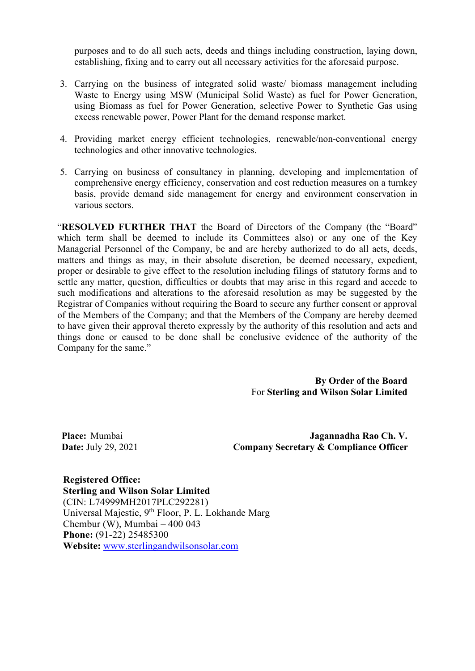purposes and to do all such acts, deeds and things including construction, laying down, establishing, fixing and to carry out all necessary activities for the aforesaid purpose.

- 3. Carrying on the business of integrated solid waste/ biomass management including Waste to Energy using MSW (Municipal Solid Waste) as fuel for Power Generation, using Biomass as fuel for Power Generation, selective Power to Synthetic Gas using excess renewable power, Power Plant for the demand response market.
- 4. Providing market energy efficient technologies, renewable/non-conventional energy technologies and other innovative technologies.
- 5. Carrying on business of consultancy in planning, developing and implementation of comprehensive energy efficiency, conservation and cost reduction measures on a turnkey basis, provide demand side management for energy and environment conservation in various sectors.

"**RESOLVED FURTHER THAT** the Board of Directors of the Company (the "Board" which term shall be deemed to include its Committees also) or any one of the Key Managerial Personnel of the Company, be and are hereby authorized to do all acts, deeds, matters and things as may, in their absolute discretion, be deemed necessary, expedient, proper or desirable to give effect to the resolution including filings of statutory forms and to settle any matter, question, difficulties or doubts that may arise in this regard and accede to such modifications and alterations to the aforesaid resolution as may be suggested by the Registrar of Companies without requiring the Board to secure any further consent or approval of the Members of the Company; and that the Members of the Company are hereby deemed to have given their approval thereto expressly by the authority of this resolution and acts and things done or caused to be done shall be conclusive evidence of the authority of the Company for the same."

> **By Order of the Board**  For **Sterling and Wilson Solar Limited**

**Place:** Mumbai **Date:** July 29, 2021

**Jagannadha Rao Ch. V. Company Secretary & Compliance Officer**

**Registered Office: Sterling and Wilson Solar Limited** (CIN: L74999MH2017PLC292281) Universal Majestic, 9<sup>th</sup> Floor, P. L. Lokhande Marg Chembur (W), Mumbai – 400 043 **Phone:** (91-22) 25485300 **Website:** [www.sterlingandwilsonsolar.com](http://www.sterlingandwilsonsolar.com/)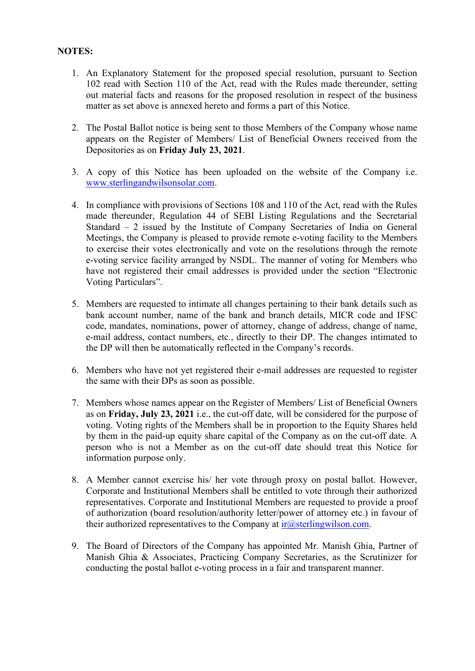### **NOTES:**

- 1. An Explanatory Statement for the proposed special resolution, pursuant to Section 102 read with Section 110 of the Act, read with the Rules made thereunder, setting out material facts and reasons for the proposed resolution in respect of the business matter as set above is annexed hereto and forms a part of this Notice.
- 2. The Postal Ballot notice is being sent to those Members of the Company whose name appears on the Register of Members/ List of Beneficial Owners received from the Depositories as on **Friday July 23, 2021**.
- 3. A copy of this Notice has been uploaded on the website of the Company i.e. [www.sterlingandwilsonsolar.com.](http://www.sterlingandwilsonsolar.com/)
- 4. In compliance with provisions of Sections 108 and 110 of the Act, read with the Rules made thereunder, Regulation 44 of SEBI Listing Regulations and the Secretarial Standard – 2 issued by the Institute of Company Secretaries of India on General Meetings, the Company is pleased to provide remote e-voting facility to the Members to exercise their votes electronically and vote on the resolutions through the remote e-voting service facility arranged by NSDL. The manner of voting for Members who have not registered their email addresses is provided under the section "Electronic Voting Particulars".
- 5. Members are requested to intimate all changes pertaining to their bank details such as bank account number, name of the bank and branch details, MICR code and IFSC code, mandates, nominations, power of attorney, change of address, change of name, e-mail address, contact numbers, etc., directly to their DP. The changes intimated to the DP will then be automatically reflected in the Company's records.
- 6. Members who have not yet registered their e-mail addresses are requested to register the same with their DPs as soon as possible.
- 7. Members whose names appear on the Register of Members/ List of Beneficial Owners as on **Friday, July 23, 2021** i.e., the cut-off date, will be considered for the purpose of voting. Voting rights of the Members shall be in proportion to the Equity Shares held by them in the paid-up equity share capital of the Company as on the cut-off date. A person who is not a Member as on the cut-off date should treat this Notice for information purpose only.
- 8. A Member cannot exercise his/ her vote through proxy on postal ballot. However, Corporate and Institutional Members shall be entitled to vote through their authorized representatives. Corporate and Institutional Members are requested to provide a proof of authorization (board resolution/authority letter/power of attorney etc.) in favour of their authorized representatives to the Company at  $ir@sterlingwilson.com$ .
- 9. The Board of Directors of the Company has appointed Mr. Manish Ghia, Partner of Manish Ghia & Associates, Practicing Company Secretaries, as the Scrutinizer for conducting the postal ballot e-voting process in a fair and transparent manner.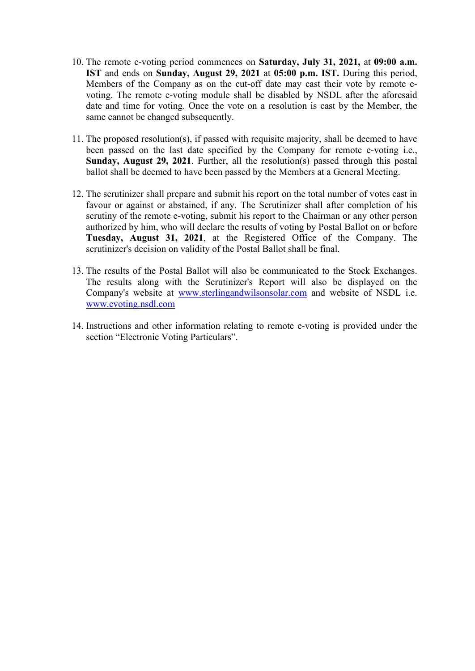- 10. The remote e-voting period commences on **Saturday, July 31, 2021,** at **09:00 a.m. IST** and ends on **Sunday, August 29, 2021** at **05:00 p.m. IST.** During this period, Members of the Company as on the cut-off date may cast their vote by remote evoting. The remote e-voting module shall be disabled by NSDL after the aforesaid date and time for voting. Once the vote on a resolution is cast by the Member, the same cannot be changed subsequently.
- 11. The proposed resolution(s), if passed with requisite majority, shall be deemed to have been passed on the last date specified by the Company for remote e-voting i.e., **Sunday, August 29, 2021**. Further, all the resolution(s) passed through this postal ballot shall be deemed to have been passed by the Members at a General Meeting.
- 12. The scrutinizer shall prepare and submit his report on the total number of votes cast in favour or against or abstained, if any. The Scrutinizer shall after completion of his scrutiny of the remote e-voting, submit his report to the Chairman or any other person authorized by him, who will declare the results of voting by Postal Ballot on or before **Tuesday, August 31, 2021**, at the Registered Office of the Company. The scrutinizer's decision on validity of the Postal Ballot shall be final.
- 13. The results of the Postal Ballot will also be communicated to the Stock Exchanges. The results along with the Scrutinizer's Report will also be displayed on the Company's website at [www.sterlingandwilsonsolar.com](http://www.sterlingandwilsonsolar.com/) and website of NSDL i.e. [www.evoting.nsdl.com](http://www.evoting.nsdl.com/)
- 14. Instructions and other information relating to remote e-voting is provided under the section "Electronic Voting Particulars".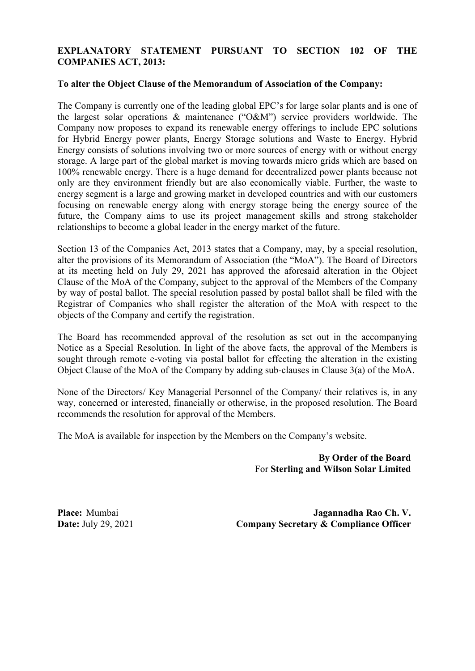### **EXPLANATORY STATEMENT PURSUANT TO SECTION 102 OF THE COMPANIES ACT, 2013:**

#### **To alter the Object Clause of the Memorandum of Association of the Company:**

The Company is currently one of the leading global EPC's for large solar plants and is one of the largest solar operations & maintenance ("O&M") service providers worldwide. The Company now proposes to expand its renewable energy offerings to include EPC solutions for Hybrid Energy power plants, Energy Storage solutions and Waste to Energy. Hybrid Energy consists of solutions involving two or more sources of energy with or without energy storage. A large part of the global market is moving towards micro grids which are based on 100% renewable energy. There is a huge demand for decentralized power plants because not only are they environment friendly but are also economically viable. Further, the waste to energy segment is a large and growing market in developed countries and with our customers focusing on renewable energy along with energy storage being the energy source of the future, the Company aims to use its project management skills and strong stakeholder relationships to become a global leader in the energy market of the future.

Section 13 of the Companies Act, 2013 states that a Company, may, by a special resolution, alter the provisions of its Memorandum of Association (the "MoA"). The Board of Directors at its meeting held on July 29, 2021 has approved the aforesaid alteration in the Object Clause of the MoA of the Company, subject to the approval of the Members of the Company by way of postal ballot. The special resolution passed by postal ballot shall be filed with the Registrar of Companies who shall register the alteration of the MoA with respect to the objects of the Company and certify the registration.

The Board has recommended approval of the resolution as set out in the accompanying Notice as a Special Resolution. In light of the above facts, the approval of the Members is sought through remote e-voting via postal ballot for effecting the alteration in the existing Object Clause of the MoA of the Company by adding sub-clauses in Clause 3(a) of the MoA.

None of the Directors/ Key Managerial Personnel of the Company/ their relatives is, in any way, concerned or interested, financially or otherwise, in the proposed resolution. The Board recommends the resolution for approval of the Members.

The MoA is available for inspection by the Members on the Company's website.

**By Order of the Board**  For **Sterling and Wilson Solar Limited**

**Place:** Mumbai **Date:** July 29, 2021

**Jagannadha Rao Ch. V. Company Secretary & Compliance Officer**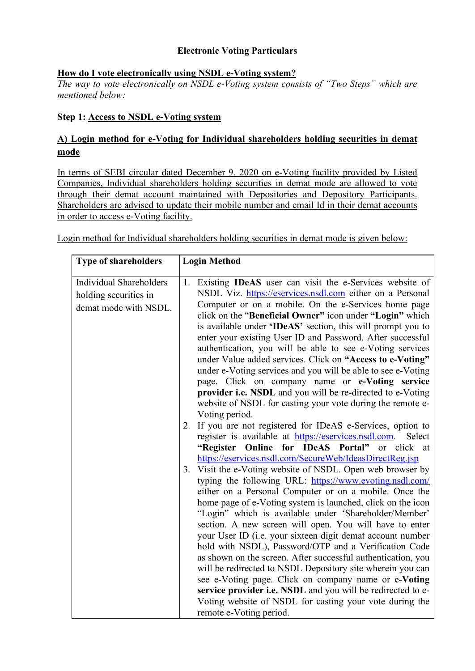## **Electronic Voting Particulars**

## **How do I vote electronically using NSDL e-Voting system?**

*The way to vote electronically on NSDL e-Voting system consists of "Two Steps" which are mentioned below:*

## **Step 1: Access to NSDL e-Voting system**

# **A) Login method for e-Voting for Individual shareholders holding securities in demat mode**

In terms of SEBI circular dated December 9, 2020 on e-Voting facility provided by Listed Companies, Individual shareholders holding securities in demat mode are allowed to vote through their demat account maintained with Depositories and Depository Participants. Shareholders are advised to update their mobile number and email Id in their demat accounts in order to access e-Voting facility.

Login method for Individual shareholders holding securities in demat mode is given below:

| <b>Type of shareholders</b>    | <b>Login Method</b>                                                                                                |  |
|--------------------------------|--------------------------------------------------------------------------------------------------------------------|--|
|                                |                                                                                                                    |  |
| <b>Individual Shareholders</b> | 1. Existing IDeAS user can visit the e-Services website of                                                         |  |
| holding securities in          | NSDL Viz. https://eservices.nsdl.com either on a Personal                                                          |  |
| demat mode with NSDL.          | Computer or on a mobile. On the e-Services home page                                                               |  |
|                                | click on the "Beneficial Owner" icon under "Login" which                                                           |  |
|                                | is available under 'IDeAS' section, this will prompt you to                                                        |  |
|                                | enter your existing User ID and Password. After successful                                                         |  |
|                                | authentication, you will be able to see e-Voting services                                                          |  |
|                                | under Value added services. Click on "Access to e-Voting"                                                          |  |
|                                | under e-Voting services and you will be able to see e-Voting                                                       |  |
|                                | page. Click on company name or e-Voting service                                                                    |  |
|                                | provider i.e. NSDL and you will be re-directed to e-Voting                                                         |  |
|                                | website of NSDL for casting your vote during the remote e-                                                         |  |
|                                | Voting period.                                                                                                     |  |
|                                | If you are not registered for IDeAS e-Services, option to<br>2.                                                    |  |
|                                | register is available at https://eservices.nsdl.com.<br>Select                                                     |  |
|                                | "Register Online for IDeAS Portal" or click at                                                                     |  |
|                                | https://eservices.nsdl.com/SecureWeb/IdeasDirectReg.jsp                                                            |  |
|                                | 3. Visit the e-Voting website of NSDL. Open web browser by                                                         |  |
|                                | typing the following URL: https://www.evoting.nsdl.com/                                                            |  |
|                                | either on a Personal Computer or on a mobile. Once the                                                             |  |
|                                | home page of e-Voting system is launched, click on the icon                                                        |  |
|                                | "Login" which is available under 'Shareholder/Member'                                                              |  |
|                                | section. A new screen will open. You will have to enter                                                            |  |
|                                | your User ID (i.e. your sixteen digit demat account number                                                         |  |
|                                | hold with NSDL), Password/OTP and a Verification Code                                                              |  |
|                                | as shown on the screen. After successful authentication, you                                                       |  |
|                                | will be redirected to NSDL Depository site wherein you can<br>see e-Voting page. Click on company name or e-Voting |  |
|                                | service provider i.e. NSDL and you will be redirected to e-                                                        |  |
|                                |                                                                                                                    |  |
|                                |                                                                                                                    |  |
|                                | Voting website of NSDL for casting your vote during the<br>remote e-Voting period.                                 |  |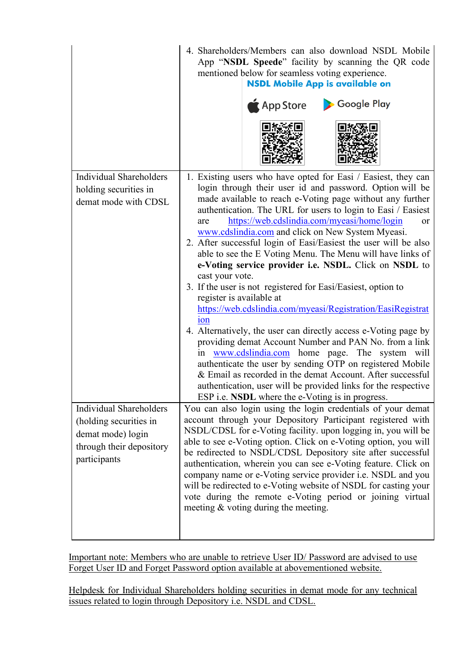|                                                                                                                           | 4. Shareholders/Members can also download NSDL Mobile<br>App "NSDL Speede" facility by scanning the QR code<br>mentioned below for seamless voting experience.<br><b>NSDL Mobile App is available on</b><br>App Store<br>Google Play                                                                                                                                                                                                                                                                                                                                                                                                                                                                                                                                                                                                                                                                                                                                                                                                                                                                                                                                                                           |
|---------------------------------------------------------------------------------------------------------------------------|----------------------------------------------------------------------------------------------------------------------------------------------------------------------------------------------------------------------------------------------------------------------------------------------------------------------------------------------------------------------------------------------------------------------------------------------------------------------------------------------------------------------------------------------------------------------------------------------------------------------------------------------------------------------------------------------------------------------------------------------------------------------------------------------------------------------------------------------------------------------------------------------------------------------------------------------------------------------------------------------------------------------------------------------------------------------------------------------------------------------------------------------------------------------------------------------------------------|
| <b>Individual Shareholders</b><br>holding securities in<br>demat mode with CDSL                                           | 1. Existing users who have opted for Easi / Easiest, they can<br>login through their user id and password. Option will be<br>made available to reach e-Voting page without any further<br>authentication. The URL for users to login to Easi / Easiest<br>https://web.cdslindia.com/myeasi/home/login<br>are<br><b>or</b><br>www.cdslindia.com and click on New System Myeasi.<br>2. After successful login of Easi/Easiest the user will be also<br>able to see the E Voting Menu. The Menu will have links of<br>e-Voting service provider i.e. NSDL. Click on NSDL to<br>cast your vote.<br>3. If the user is not registered for Easi/Easiest, option to<br>register is available at<br>https://web.cdslindia.com/myeasi/Registration/EasiRegistrat<br>10 <sub>n</sub><br>4. Alternatively, the user can directly access e-Voting page by<br>providing demat Account Number and PAN No. from a link<br>www.cdslindia.com home page. The system will<br>authenticate the user by sending OTP on registered Mobile<br>& Email as recorded in the demat Account. After successful<br>authentication, user will be provided links for the respective<br>ESP <i>i.e.</i> NSDL where the e-Voting is in progress. |
| <b>Individual Shareholders</b><br>(holding securities in<br>demat mode) login<br>through their depository<br>participants | You can also login using the login credentials of your demat<br>account through your Depository Participant registered with<br>NSDL/CDSL for e-Voting facility. upon logging in, you will be<br>able to see e-Voting option. Click on e-Voting option, you will<br>be redirected to NSDL/CDSL Depository site after successful<br>authentication, wherein you can see e-Voting feature. Click on<br>company name or e-Voting service provider i.e. NSDL and you<br>will be redirected to e-Voting website of NSDL for casting your<br>vote during the remote e-Voting period or joining virtual<br>meeting & voting during the meeting.                                                                                                                                                                                                                                                                                                                                                                                                                                                                                                                                                                        |

Important note: Members who are unable to retrieve User ID/ Password are advised to use Forget User ID and Forget Password option available at abovementioned website.

Helpdesk for Individual Shareholders holding securities in demat mode for any technical issues related to login through Depository i.e. NSDL and CDSL.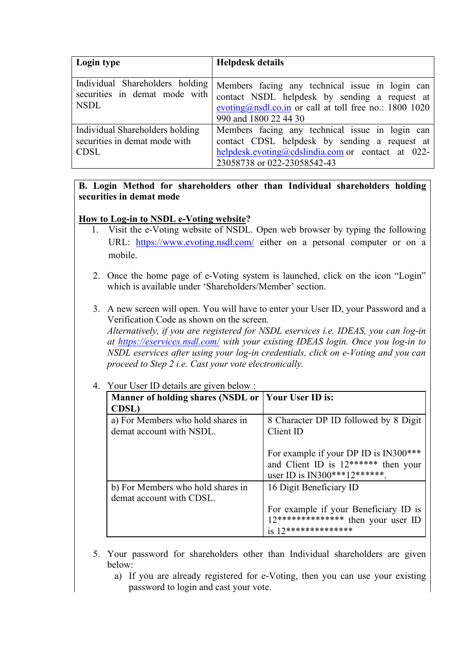| Login type                                                                      | <b>Helpdesk details</b>                                                                                                                                                                  |
|---------------------------------------------------------------------------------|------------------------------------------------------------------------------------------------------------------------------------------------------------------------------------------|
| Individual Shareholders holding<br>securities in demat mode with<br><b>NSDL</b> | Members facing any technical issue in login can<br>contact NSDL helpdesk by sending a request at<br>evoting@nsdl.co.in or call at toll free no.: 1800 1020<br>990 and 1800 22 44 30      |
| Individual Shareholders holding<br>securities in demat mode with<br><b>CDSL</b> | Members facing any technical issue in login can<br>contact CDSL helpdesk by sending a request at<br>$help desk.evoting @cdslindia.com$ or contact at 022-<br>23058738 or 022-23058542-43 |

### **B. Login Method for shareholders other than Individual shareholders holding securities in demat mode**

## **How to Log-in to NSDL e-Voting website?**

- 1. Visit the e-Voting website of NSDL. Open web browser by typing the following URL: <https://www.evoting.nsdl.com/> either on a personal computer or on a mobile.
- 2. Once the home page of e-Voting system is launched, click on the icon "Login" which is available under 'Shareholders/Member' section.
- 3. A new screen will open. You will have to enter your User ID, your Password and a Verification Code as shown on the screen. *Alternatively, if you are registered for NSDL eservices i.e. IDEAS, you can log-in at<https://eservices.nsdl.com/> with your existing IDEAS login. Once you log-in to NSDL eservices after using your log-in credentials, click on e-Voting and you can proceed to Step 2 i.e. Cast your vote electronically.*

| 4. Your User ID details are given below :                     |                                                                                                                  |  |
|---------------------------------------------------------------|------------------------------------------------------------------------------------------------------------------|--|
| Manner of holding shares (NSDL or   Your User ID is:          |                                                                                                                  |  |
| <b>CDSL</b> )                                                 |                                                                                                                  |  |
| a) For Members who hold shares in<br>demat account with NSDL. | 8 Character DP ID followed by 8 Digit<br>Client ID                                                               |  |
|                                                               | For example if your DP ID is IN300***<br>and Client ID is $12******$ then your<br>user ID is IN300***12******.   |  |
| b) For Members who hold shares in<br>demat account with CDSL. | 16 Digit Beneficiary ID                                                                                          |  |
|                                                               | For example if your Beneficiary ID is<br>$12****************$ then your user ID<br>$is 12**********************$ |  |

- 5. Your password for shareholders other than Individual shareholders are given below:
	- a) If you are already registered for e-Voting, then you can use your existing password to login and cast your vote.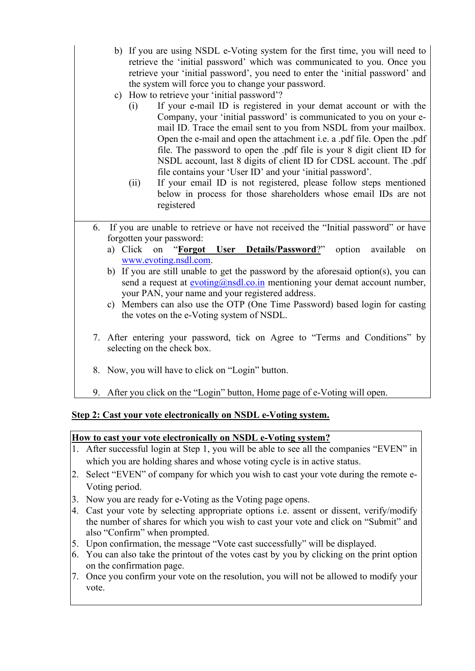- b) If you are using NSDL e-Voting system for the first time, you will need to retrieve the 'initial password' which was communicated to you. Once you retrieve your 'initial password', you need to enter the 'initial password' and the system will force you to change your password.
- c) How to retrieve your 'initial password'?
	- (i) If your e-mail ID is registered in your demat account or with the Company, your 'initial password' is communicated to you on your email ID. Trace the email sent to you from NSDL from your mailbox. Open the e-mail and open the attachment i.e. a .pdf file. Open the .pdf file. The password to open the .pdf file is your 8 digit client ID for NSDL account, last 8 digits of client ID for CDSL account. The .pdf file contains your 'User ID' and your 'initial password'.
	- (ii) If your email ID is not registered, please follow steps mentioned below in process for those shareholders whose email IDs are not registered
- 6. If you are unable to retrieve or have not received the "Initial password" or have forgotten your password:
	- a) Click on "**[Forgot User Details/Password](https://www.evoting.nsdl.com/eVotingWeb/commonhtmls/NewUser.jsp)**?" option available on [www.evoting.nsdl.com.](http://www.evoting.nsdl.com/)
	- b) If you are still unable to get the password by the aforesaid option(s), you can send a request at  $evoting@nsdl.co.in mentioning your demand account number,$ </u> your PAN, your name and your registered address.
	- c) Members can also use the OTP (One Time Password) based login for casting the votes on the e-Voting system of NSDL.
- 7. After entering your password, tick on Agree to "Terms and Conditions" by selecting on the check box.
- 8. Now, you will have to click on "Login" button.
- 9. After you click on the "Login" button, Home page of e-Voting will open.

# **Step 2: Cast your vote electronically on NSDL e-Voting system.**

### **How to cast your vote electronically on NSDL e-Voting system?**

- 1. After successful login at Step 1, you will be able to see all the companies "EVEN" in which you are holding shares and whose voting cycle is in active status.
- 2. Select "EVEN" of company for which you wish to cast your vote during the remote e-Voting period.
- 3. Now you are ready for e-Voting as the Voting page opens.
- 4. Cast your vote by selecting appropriate options i.e. assent or dissent, verify/modify the number of shares for which you wish to cast your vote and click on "Submit" and also "Confirm" when prompted.
- 5. Upon confirmation, the message "Vote cast successfully" will be displayed.
- 6. You can also take the printout of the votes cast by you by clicking on the print option on the confirmation page.
- 7. Once you confirm your vote on the resolution, you will not be allowed to modify your vote.